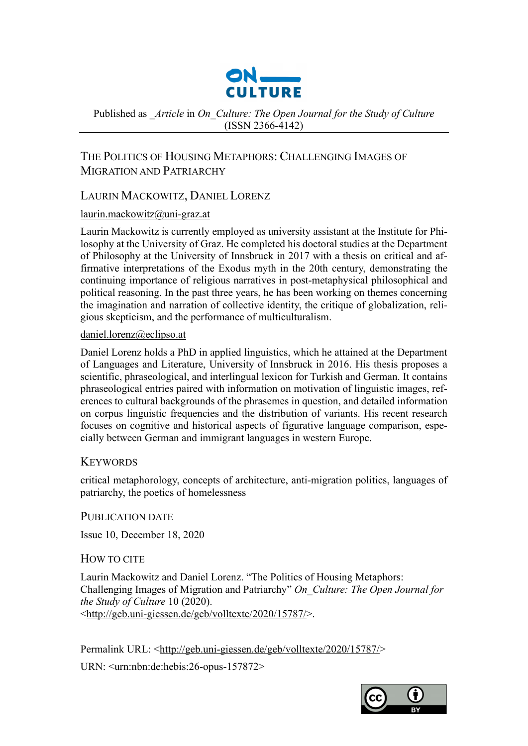

Published as *\_Article* in *On\_Culture: The Open Journal for the Study of Culture*  (ISSN 2366-4142)

# THE POLITICS OF HOUSING METAPHORS: CHALLENGING IMAGES OF MIGRATION AND PATRIARCHY

# LAURIN MACKOWITZ, DANIEL LORENZ

# [laurin.mackowitz@uni-graz.at](mailto:laurin.mackowitz@uni-graz.at)

Laurin Mackowitz is currently employed as university assistant at the Institute for Philosophy at the University of Graz. He completed his doctoral studies at the Department of Philosophy at the University of Innsbruck in 2017 with a thesis on critical and affirmative interpretations of the Exodus myth in the 20th century, demonstrating the continuing importance of religious narratives in post-metaphysical philosophical and political reasoning. In the past three years, he has been working on themes concerning the imagination and narration of collective identity, the critique of globalization, religious skepticism, and the performance of multiculturalism.

### [daniel.lorenz@eclipso.at](mailto:daniel.lorenz@eclipso.at)

Daniel Lorenz holds a PhD in applied linguistics, which he attained at the Department of Languages and Literature, University of Innsbruck in 2016. His thesis proposes a scientific, phraseological, and interlingual lexicon for Turkish and German. It contains phraseological entries paired with information on motivation of linguistic images, references to cultural backgrounds of the phrasemes in question, and detailed information on corpus linguistic frequencies and the distribution of variants. His recent research focuses on cognitive and historical aspects of figurative language comparison, especially between German and immigrant languages in western Europe.

# **KEYWORDS**

critical metaphorology, concepts of architecture, anti-migration politics, languages of patriarchy, the poetics of homelessness

PUBLICATION DATE

Issue 10, December 18, 2020

# HOW TO CITE

Laurin Mackowitz and Daniel Lorenz. "The Politics of Housing Metaphors: Challenging Images of Migration and Patriarchy" *On\_Culture: The Open Journal for the Study of Culture* 10 (2020). [<http://geb.uni-giessen.de/geb/volltexte/2020/15787/>](http://geb.uni-giessen.de/geb/volltexte/2020/15787/).

Permalink URL: [<http://geb.uni-giessen.de/geb/volltexte/2020/15787/>](http://geb.uni-giessen.de/geb/volltexte/2020/15787/)

URN: <urn:nbn:de:hebis:26-opus-157872>

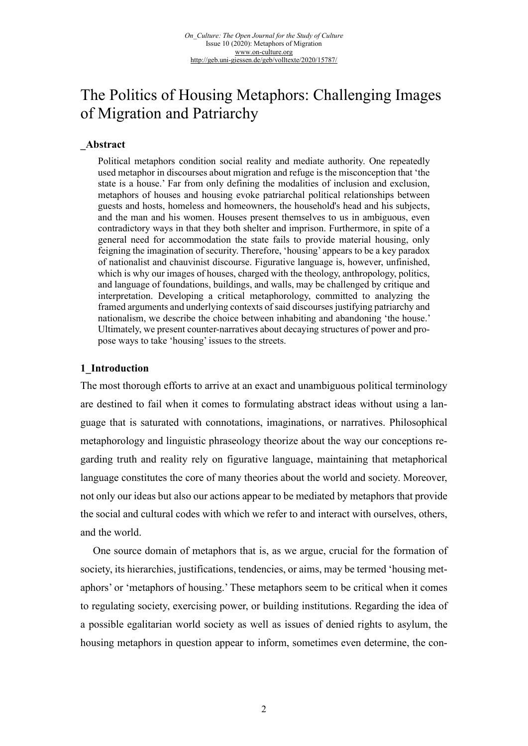# The Politics of Housing Metaphors: Challenging Images of Migration and Patriarchy

#### **\_Abstract**

Political metaphors condition social reality and mediate authority. One repeatedly used metaphor in discourses about migration and refuge is the misconception that 'the state is a house.' Far from only defining the modalities of inclusion and exclusion, metaphors of houses and housing evoke patriarchal political relationships between guests and hosts, homeless and homeowners, the household's head and his subjects, and the man and his women. Houses present themselves to us in ambiguous, even contradictory ways in that they both shelter and imprison. Furthermore, in spite of a general need for accommodation the state fails to provide material housing, only feigning the imagination of security. Therefore, 'housing' appears to be a key paradox of nationalist and chauvinist discourse. Figurative language is, however, unfinished, which is why our images of houses, charged with the theology, anthropology, politics, and language of foundations, buildings, and walls, may be challenged by critique and interpretation. Developing a critical metaphorology, committed to analyzing the framed arguments and underlying contexts of said discourses justifying patriarchy and nationalism, we describe the choice between inhabiting and abandoning 'the house.' Ultimately, we present counter-narratives about decaying structures of power and propose ways to take 'housing' issues to the streets.

#### **1\_Introduction**

The most thorough efforts to arrive at an exact and unambiguous political terminology are destined to fail when it comes to formulating abstract ideas without using a language that is saturated with connotations, imaginations, or narratives. Philosophical metaphorology and linguistic phraseology theorize about the way our conceptions regarding truth and reality rely on figurative language, maintaining that metaphorical language constitutes the core of many theories about the world and society. Moreover, not only our ideas but also our actions appear to be mediated by metaphors that provide the social and cultural codes with which we refer to and interact with ourselves, others, and the world.

One source domain of metaphors that is, as we argue, crucial for the formation of society, its hierarchies, justifications, tendencies, or aims, may be termed 'housing metaphors' or 'metaphors of housing.' These metaphors seem to be critical when it comes to regulating society, exercising power, or building institutions. Regarding the idea of a possible egalitarian world society as well as issues of denied rights to asylum, the housing metaphors in question appear to inform, sometimes even determine, the con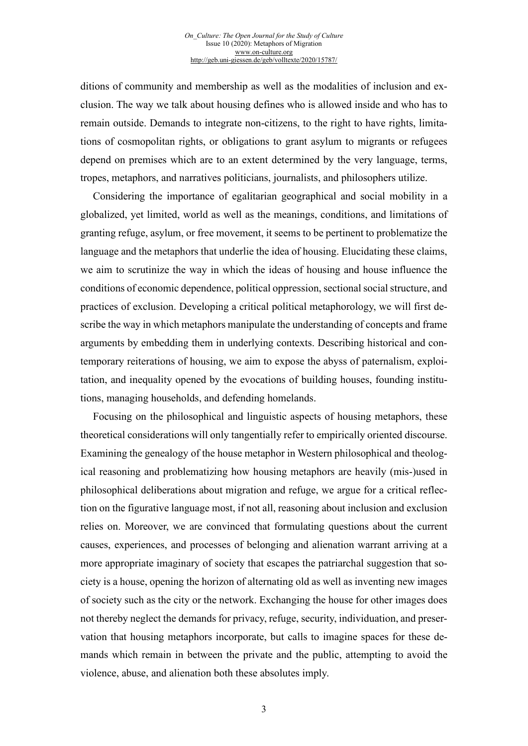ditions of community and membership as well as the modalities of inclusion and exclusion. The way we talk about housing defines who is allowed inside and who has to remain outside. Demands to integrate non-citizens, to the right to have rights, limitations of cosmopolitan rights, or obligations to grant asylum to migrants or refugees depend on premises which are to an extent determined by the very language, terms, tropes, metaphors, and narratives politicians, journalists, and philosophers utilize.

Considering the importance of egalitarian geographical and social mobility in a globalized, yet limited, world as well as the meanings, conditions, and limitations of granting refuge, asylum, or free movement, it seems to be pertinent to problematize the language and the metaphors that underlie the idea of housing. Elucidating these claims, we aim to scrutinize the way in which the ideas of housing and house influence the conditions of economic dependence, political oppression, sectional social structure, and practices of exclusion. Developing a critical political metaphorology, we will first describe the way in which metaphors manipulate the understanding of concepts and frame arguments by embedding them in underlying contexts. Describing historical and contemporary reiterations of housing, we aim to expose the abyss of paternalism, exploitation, and inequality opened by the evocations of building houses, founding institutions, managing households, and defending homelands.

Focusing on the philosophical and linguistic aspects of housing metaphors, these theoretical considerations will only tangentially refer to empirically oriented discourse. Examining the genealogy of the house metaphor in Western philosophical and theological reasoning and problematizing how housing metaphors are heavily (mis-)used in philosophical deliberations about migration and refuge, we argue for a critical reflection on the figurative language most, if not all, reasoning about inclusion and exclusion relies on. Moreover, we are convinced that formulating questions about the current causes, experiences, and processes of belonging and alienation warrant arriving at a more appropriate imaginary of society that escapes the patriarchal suggestion that society is a house, opening the horizon of alternating old as well as inventing new images of society such as the city or the network. Exchanging the house for other images does not thereby neglect the demands for privacy, refuge, security, individuation, and preservation that housing metaphors incorporate, but calls to imagine spaces for these demands which remain in between the private and the public, attempting to avoid the violence, abuse, and alienation both these absolutes imply.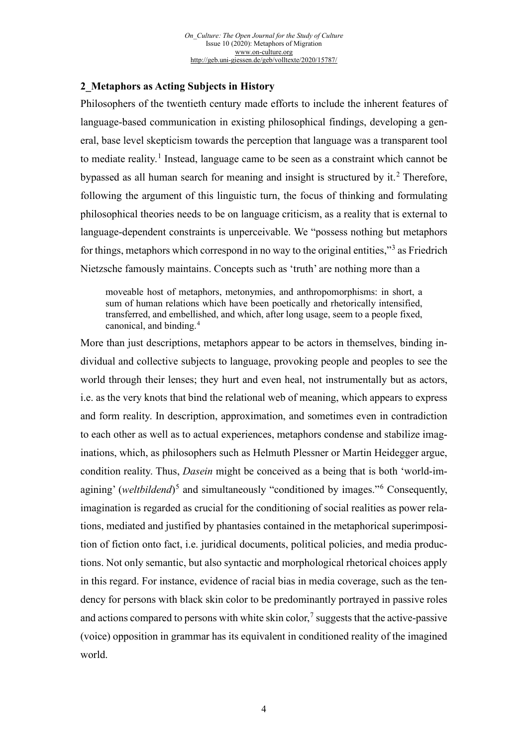#### **2\_Metaphors as Acting Subjects in History**

Philosophers of the twentieth century made efforts to include the inherent features of language-based communication in existing philosophical findings, developing a general, base level skepticism towards the perception that language was a transparent tool to mediate reality.<sup>[1](#page-17-0)</sup> Instead, language came to be seen as a constraint which cannot be bypassed as all human search for meaning and insight is structured by it.<sup>[2](#page-17-1)</sup> Therefore, following the argument of this linguistic turn, the focus of thinking and formulating philosophical theories needs to be on language criticism, as a reality that is external to language-dependent constraints is unperceivable. We "possess nothing but metaphors for things, metaphors which correspond in no way to the original entities,"<sup>[3](#page-17-2)</sup> as Friedrich Nietzsche famously maintains. Concepts such as 'truth' are nothing more than a

moveable host of metaphors, metonymies, and anthropomorphisms: in short, a sum of human relations which have been poetically and rhetorically intensified, transferred, and embellished, and which, after long usage, seem to a people fixed, canonical, and binding.[4](#page-17-3)

More than just descriptions, metaphors appear to be actors in themselves, binding individual and collective subjects to language, provoking people and peoples to see the world through their lenses; they hurt and even heal, not instrumentally but as actors, i.e. as the very knots that bind the relational web of meaning, which appears to express and form reality. In description, approximation, and sometimes even in contradiction to each other as well as to actual experiences, metaphors condense and stabilize imaginations, which, as philosophers such as Helmuth Plessner or Martin Heidegger argue, condition reality. Thus, *Dasein* might be conceived as a being that is both 'world-im-agining' (weltbildend)<sup>[5](#page-17-4)</sup> and simultaneously "conditioned by images."<sup>[6](#page-17-5)</sup> Consequently, imagination is regarded as crucial for the conditioning of social realities as power relations, mediated and justified by phantasies contained in the metaphorical superimposition of fiction onto fact, i.e. juridical documents, political policies, and media productions. Not only semantic, but also syntactic and morphological rhetorical choices apply in this regard. For instance, evidence of racial bias in media coverage, such as the tendency for persons with black skin color to be predominantly portrayed in passive roles and actions compared to persons with white skin color,<sup>[7](#page-17-6)</sup> suggests that the active-passive (voice) opposition in grammar has its equivalent in conditioned reality of the imagined world.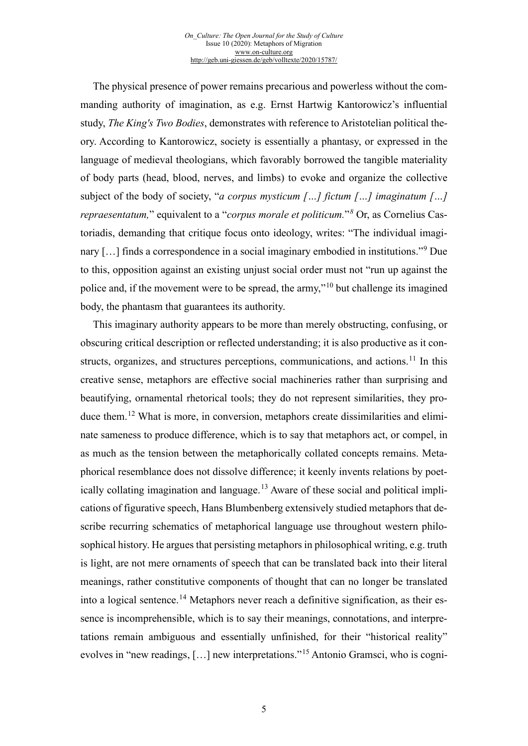The physical presence of power remains precarious and powerless without the commanding authority of imagination, as e.g. Ernst Hartwig Kantorowicz's influential study, *The King's Two Bodies*, demonstrates with reference to Aristotelian political theory. According to Kantorowicz, society is essentially a phantasy, or expressed in the language of medieval theologians, which favorably borrowed the tangible materiality of body parts (head, blood, nerves, and limbs) to evoke and organize the collective subject of the body of society, "*a corpus mysticum […] fictum […] imaginatum […] repraesentatum,*" equivalent to a "*corpus morale et politicum.*"*[8](#page-17-7)* Or, as Cornelius Castoriadis, demanding that critique focus onto ideology, writes: "The individual imagi-nary [...] finds a correspondence in a social imaginary embodied in institutions."<sup>[9](#page-17-8)</sup> Due to this, opposition against an existing unjust social order must not "run up against the police and, if the movement were to be spread, the army,"[10](#page-17-9) but challenge its imagined body, the phantasm that guarantees its authority.

This imaginary authority appears to be more than merely obstructing, confusing, or obscuring critical description or reflected understanding; it is also productive as it con-structs, organizes, and structures perceptions, communications, and actions.<sup>[11](#page-17-10)</sup> In this creative sense, metaphors are effective social machineries rather than surprising and beautifying, ornamental rhetorical tools; they do not represent similarities, they produce them.[12](#page-17-11) What is more, in conversion, metaphors create dissimilarities and eliminate sameness to produce difference, which is to say that metaphors act, or compel, in as much as the tension between the metaphorically collated concepts remains. Metaphorical resemblance does not dissolve difference; it keenly invents relations by poet-ically collating imagination and language.<sup>[13](#page-17-12)</sup> Aware of these social and political implications of figurative speech, Hans Blumbenberg extensively studied metaphors that describe recurring schematics of metaphorical language use throughout western philosophical history. He argues that persisting metaphors in philosophical writing, e.g. truth is light, are not mere ornaments of speech that can be translated back into their literal meanings, rather constitutive components of thought that can no longer be translated into a logical sentence.<sup>[14](#page-17-13)</sup> Metaphors never reach a definitive signification, as their essence is incomprehensible, which is to say their meanings, connotations, and interpretations remain ambiguous and essentially unfinished, for their "historical reality" evolves in "new readings, […] new interpretations."[15](#page-18-0) Antonio Gramsci, who is cogni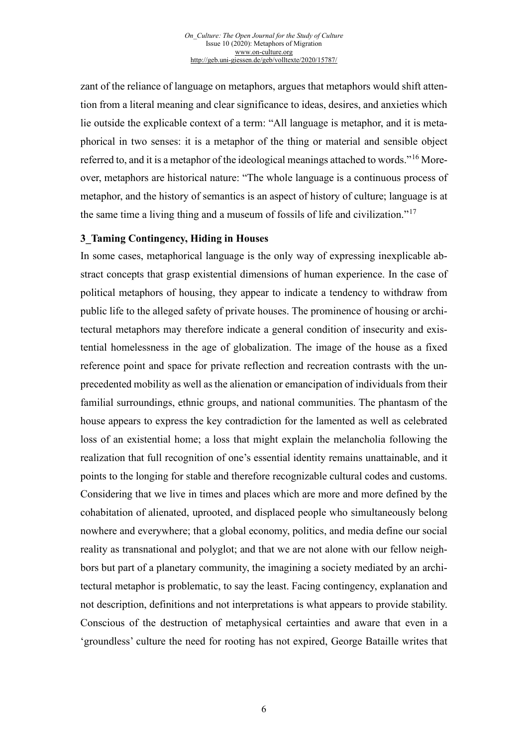zant of the reliance of language on metaphors, argues that metaphors would shift attention from a literal meaning and clear significance to ideas, desires, and anxieties which lie outside the explicable context of a term: "All language is metaphor, and it is metaphorical in two senses: it is a metaphor of the thing or material and sensible object referred to, and it is a metaphor of the ideological meanings attached to words."[16](#page-18-1) Moreover, metaphors are historical nature: "The whole language is a continuous process of metaphor, and the history of semantics is an aspect of history of culture; language is at the same time a living thing and a museum of fossils of life and civilization."[17](#page-18-2)

#### **3\_Taming Contingency, Hiding in Houses**

In some cases, metaphorical language is the only way of expressing inexplicable abstract concepts that grasp existential dimensions of human experience. In the case of political metaphors of housing, they appear to indicate a tendency to withdraw from public life to the alleged safety of private houses. The prominence of housing or architectural metaphors may therefore indicate a general condition of insecurity and existential homelessness in the age of globalization. The image of the house as a fixed reference point and space for private reflection and recreation contrasts with the unprecedented mobility as well as the alienation or emancipation of individuals from their familial surroundings, ethnic groups, and national communities. The phantasm of the house appears to express the key contradiction for the lamented as well as celebrated loss of an existential home; a loss that might explain the melancholia following the realization that full recognition of one's essential identity remains unattainable, and it points to the longing for stable and therefore recognizable cultural codes and customs. Considering that we live in times and places which are more and more defined by the cohabitation of alienated, uprooted, and displaced people who simultaneously belong nowhere and everywhere; that a global economy, politics, and media define our social reality as transnational and polyglot; and that we are not alone with our fellow neighbors but part of a planetary community, the imagining a society mediated by an architectural metaphor is problematic, to say the least. Facing contingency, explanation and not description, definitions and not interpretations is what appears to provide stability. Conscious of the destruction of metaphysical certainties and aware that even in a 'groundless' culture the need for rooting has not expired, George Bataille writes that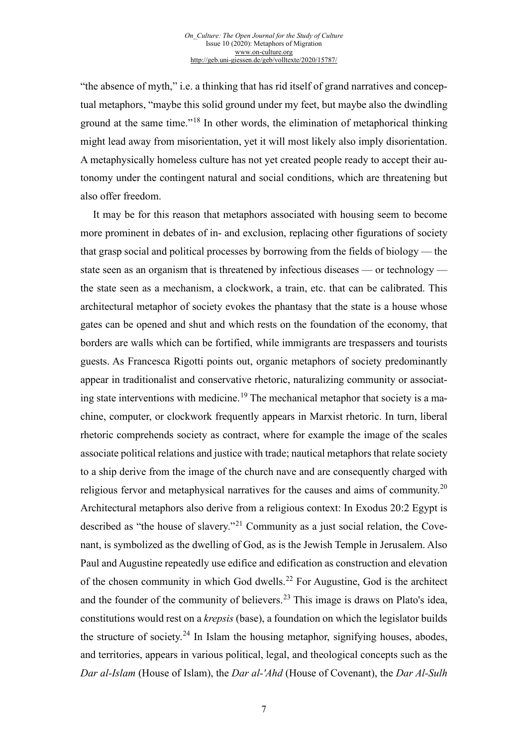"the absence of myth," i.e. a thinking that has rid itself of grand narratives and conceptual metaphors, "maybe this solid ground under my feet, but maybe also the dwindling ground at the same time."[18](#page-18-3) In other words, the elimination of metaphorical thinking might lead away from misorientation, yet it will most likely also imply disorientation. A metaphysically homeless culture has not yet created people ready to accept their autonomy under the contingent natural and social conditions, which are threatening but also offer freedom.

It may be for this reason that metaphors associated with housing seem to become more prominent in debates of in- and exclusion, replacing other figurations of society that grasp social and political processes by borrowing from the fields of biology — the state seen as an organism that is threatened by infectious diseases — or technology the state seen as a mechanism, a clockwork, a train, etc. that can be calibrated. This architectural metaphor of society evokes the phantasy that the state is a house whose gates can be opened and shut and which rests on the foundation of the economy, that borders are walls which can be fortified, while immigrants are trespassers and tourists guests. As Francesca Rigotti points out, organic metaphors of society predominantly appear in traditionalist and conservative rhetoric, naturalizing community or associat-ing state interventions with medicine.<sup>[19](#page-18-4)</sup> The mechanical metaphor that society is a machine, computer, or clockwork frequently appears in Marxist rhetoric. In turn, liberal rhetoric comprehends society as contract, where for example the image of the scales associate political relations and justice with trade; nautical metaphors that relate society to a ship derive from the image of the church nave and are consequently charged with religious fervor and metaphysical narratives for the causes and aims of community.<sup>[20](#page-18-5)</sup> Architectural metaphors also derive from a religious context: In Exodus 20:2 Egypt is described as "the house of slavery."[21](#page-18-6) Community as a just social relation, the Covenant, is symbolized as the dwelling of God, as is the Jewish Temple in Jerusalem. Also Paul and Augustine repeatedly use edifice and edification as construction and elevation of the chosen community in which God dwells.[22](#page-18-7) For Augustine, God is the architect and the founder of the community of believers.<sup>[23](#page-18-8)</sup> This image is draws on Plato's idea, constitutions would rest on a *krepsis* (base), a foundation on which the legislator builds the structure of society.<sup>[24](#page-18-9)</sup> In Islam the housing metaphor, signifying houses, abodes, and territories, appears in various political, legal, and theological concepts such as the *Dar al-Islam* (House of Islam), the *Dar al-'Ahd* (House of Covenant), the *Dar Al-Sulh*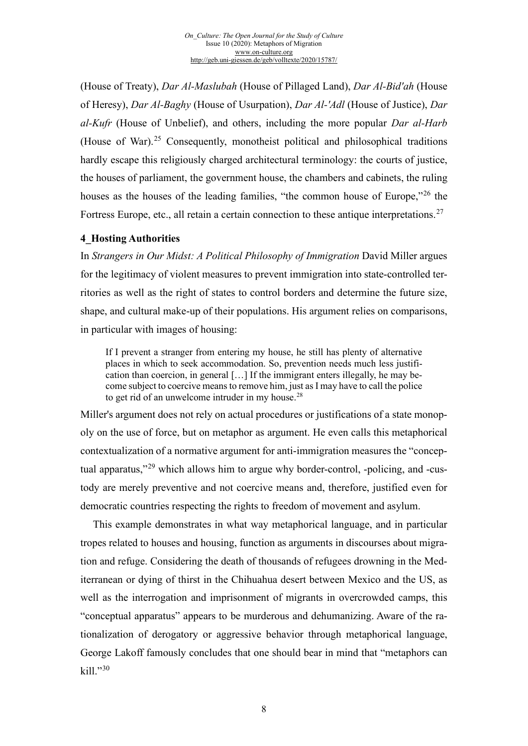(House of Treaty), *Dar Al-Maslubah* (House of Pillaged Land), *Dar Al-Bid'ah* (House of Heresy), *Dar Al-Baghy* (House of Usurpation), *Dar Al-'Adl* (House of Justice), *Dar al-Kufr* (House of Unbelief), and others, including the more popular *Dar al-Harb* (House of War).<sup>[25](#page-18-10)</sup> Consequently, monotheist political and philosophical traditions hardly escape this religiously charged architectural terminology: the courts of justice, the houses of parliament, the government house, the chambers and cabinets, the ruling houses as the houses of the leading families, "the common house of Europe,"<sup>[26](#page-18-11)</sup> the Fortress Europe, etc., all retain a certain connection to these antique interpretations.<sup>[27](#page-18-12)</sup>

#### **4\_Hosting Authorities**

In *Strangers in Our Midst: A Political Philosophy of Immigration* David Miller argues for the legitimacy of violent measures to prevent immigration into state-controlled territories as well as the right of states to control borders and determine the future size, shape, and cultural make-up of their populations. His argument relies on comparisons, in particular with images of housing:

If I prevent a stranger from entering my house, he still has plenty of alternative places in which to seek accommodation. So, prevention needs much less justification than coercion, in general […] If the immigrant enters illegally, he may become subject to coercive means to remove him, just as I may have to call the police to get rid of an unwelcome intruder in my house. $^{28}$  $^{28}$  $^{28}$ 

Miller's argument does not rely on actual procedures or justifications of a state monopoly on the use of force, but on metaphor as argument. He even calls this metaphorical contextualization of a normative argument for anti-immigration measures the "concep-tual apparatus,"<sup>[29](#page-18-14)</sup> which allows him to argue why border-control, -policing, and -custody are merely preventive and not coercive means and, therefore, justified even for democratic countries respecting the rights to freedom of movement and asylum.

This example demonstrates in what way metaphorical language, and in particular tropes related to houses and housing, function as arguments in discourses about migration and refuge. Considering the death of thousands of refugees drowning in the Mediterranean or dying of thirst in the Chihuahua desert between Mexico and the US, as well as the interrogation and imprisonment of migrants in overcrowded camps, this "conceptual apparatus" appears to be murderous and dehumanizing. Aware of the rationalization of derogatory or aggressive behavior through metaphorical language, George Lakoff famously concludes that one should bear in mind that "metaphors can kill."[30](#page-18-15)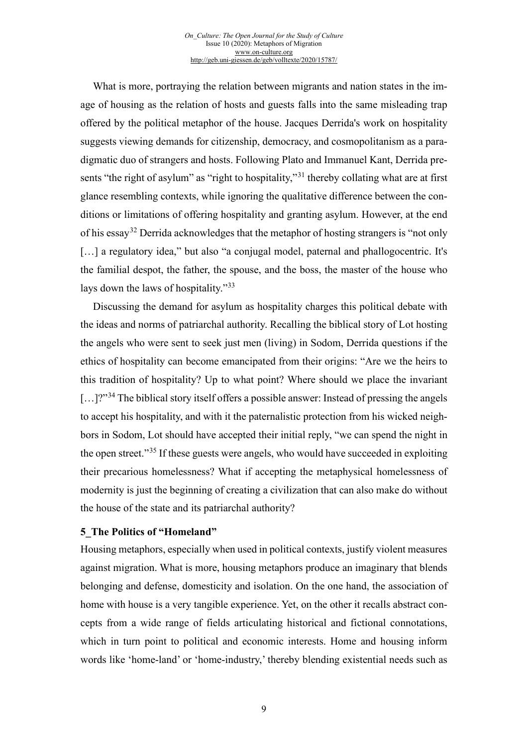What is more, portraying the relation between migrants and nation states in the image of housing as the relation of hosts and guests falls into the same misleading trap offered by the political metaphor of the house. Jacques Derrida's work on hospitality suggests viewing demands for citizenship, democracy, and cosmopolitanism as a paradigmatic duo of strangers and hosts. Following Plato and Immanuel Kant, Derrida pre-sents "the right of asylum" as "right to hospitality,"<sup>[31](#page-18-16)</sup> thereby collating what are at first glance resembling contexts, while ignoring the qualitative difference between the conditions or limitations of offering hospitality and granting asylum. However, at the end of his essay<sup>[32](#page-19-0)</sup> Derrida acknowledges that the metaphor of hosting strangers is "not only [...] a regulatory idea," but also "a conjugal model, paternal and phallogocentric. It's the familial despot, the father, the spouse, and the boss, the master of the house who lays down the laws of hospitality."[33](#page-19-1)

Discussing the demand for asylum as hospitality charges this political debate with the ideas and norms of patriarchal authority. Recalling the biblical story of Lot hosting the angels who were sent to seek just men (living) in Sodom, Derrida questions if the ethics of hospitality can become emancipated from their origins: "Are we the heirs to this tradition of hospitality? Up to what point? Where should we place the invariant  $\lbrack \dots \rbrack^{2^{n}34}$  $\lbrack \dots \rbrack^{2^{n}34}$  $\lbrack \dots \rbrack^{2^{n}34}$  The biblical story itself offers a possible answer: Instead of pressing the angels to accept his hospitality, and with it the paternalistic protection from his wicked neighbors in Sodom, Lot should have accepted their initial reply, "we can spend the night in the open street."[35](#page-19-3) If these guests were angels, who would have succeeded in exploiting their precarious homelessness? What if accepting the metaphysical homelessness of modernity is just the beginning of creating a civilization that can also make do without the house of the state and its patriarchal authority?

#### **5\_The Politics of "Homeland"**

Housing metaphors, especially when used in political contexts, justify violent measures against migration. What is more, housing metaphors produce an imaginary that blends belonging and defense, domesticity and isolation. On the one hand, the association of home with house is a very tangible experience. Yet, on the other it recalls abstract concepts from a wide range of fields articulating historical and fictional connotations, which in turn point to political and economic interests. Home and housing inform words like 'home-land' or 'home-industry,' thereby blending existential needs such as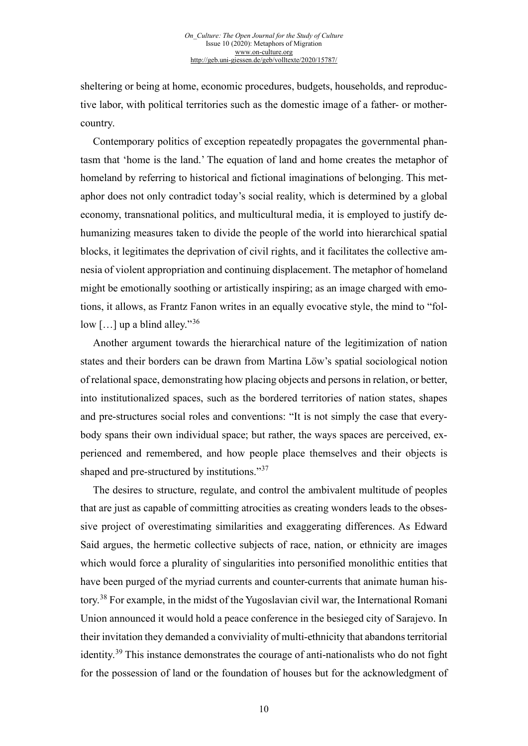sheltering or being at home, economic procedures, budgets, households, and reproductive labor, with political territories such as the domestic image of a father- or mothercountry.

Contemporary politics of exception repeatedly propagates the governmental phantasm that 'home is the land.' The equation of land and home creates the metaphor of homeland by referring to historical and fictional imaginations of belonging. This metaphor does not only contradict today's social reality, which is determined by a global economy, transnational politics, and multicultural media, it is employed to justify dehumanizing measures taken to divide the people of the world into hierarchical spatial blocks, it legitimates the deprivation of civil rights, and it facilitates the collective amnesia of violent appropriation and continuing displacement. The metaphor of homeland might be emotionally soothing or artistically inspiring; as an image charged with emotions, it allows, as Frantz Fanon writes in an equally evocative style, the mind to "follow  $\lceil$ ...] up a blind alley."<sup>[36](#page-19-4)</sup>

Another argument towards the hierarchical nature of the legitimization of nation states and their borders can be drawn from Martina Löw's spatial sociological notion of relational space, demonstrating how placing objects and persons in relation, or better, into institutionalized spaces, such as the bordered territories of nation states, shapes and pre-structures social roles and conventions: "It is not simply the case that everybody spans their own individual space; but rather, the ways spaces are perceived, experienced and remembered, and how people place themselves and their objects is shaped and pre-structured by institutions."<sup>[37](#page-19-5)</sup>

The desires to structure, regulate, and control the ambivalent multitude of peoples that are just as capable of committing atrocities as creating wonders leads to the obsessive project of overestimating similarities and exaggerating differences. As Edward Said argues, the hermetic collective subjects of race, nation, or ethnicity are images which would force a plurality of singularities into personified monolithic entities that have been purged of the myriad currents and counter-currents that animate human history.[38](#page-19-6) For example, in the midst of the Yugoslavian civil war, the International Romani Union announced it would hold a peace conference in the besieged city of Sarajevo. In their invitation they demanded a conviviality of multi-ethnicity that abandons territorial identity.<sup>[39](#page-19-7)</sup> This instance demonstrates the courage of anti-nationalists who do not fight for the possession of land or the foundation of houses but for the acknowledgment of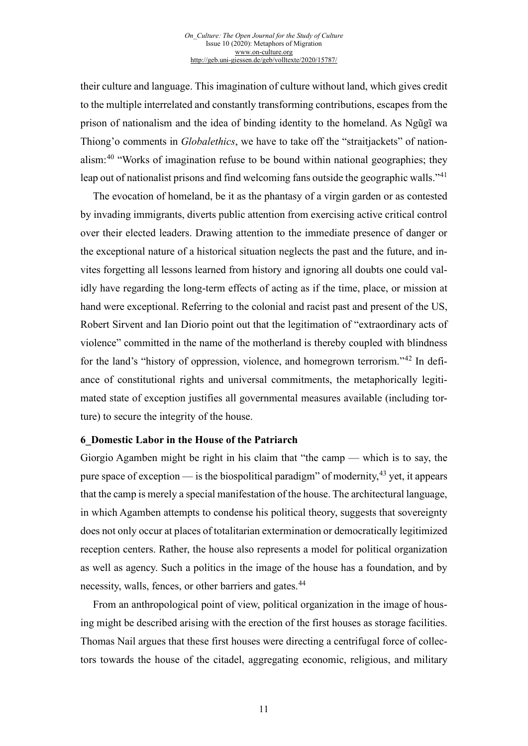their culture and language. This imagination of culture without land, which gives credit to the multiple interrelated and constantly transforming contributions, escapes from the prison of nationalism and the idea of binding identity to the homeland. As Ngũgĩ wa Thiong'o comments in *Globalethics*, we have to take off the "straitjackets" of nationalism: $40$  "Works of imagination refuse to be bound within national geographies; they leap out of nationalist prisons and find welcoming fans outside the geographic walls."<sup>[41](#page-19-9)</sup>

The evocation of homeland, be it as the phantasy of a virgin garden or as contested by invading immigrants, diverts public attention from exercising active critical control over their elected leaders. Drawing attention to the immediate presence of danger or the exceptional nature of a historical situation neglects the past and the future, and invites forgetting all lessons learned from history and ignoring all doubts one could validly have regarding the long-term effects of acting as if the time, place, or mission at hand were exceptional. Referring to the colonial and racist past and present of the US, Robert Sirvent and Ian Diorio point out that the legitimation of "extraordinary acts of violence" committed in the name of the motherland is thereby coupled with blindness for the land's "history of oppression, violence, and homegrown terrorism."[42](#page-19-10) In defiance of constitutional rights and universal commitments, the metaphorically legitimated state of exception justifies all governmental measures available (including torture) to secure the integrity of the house.

#### **6\_Domestic Labor in the House of the Patriarch**

Giorgio Agamben might be right in his claim that "the camp — which is to say, the pure space of exception — is the biospolitical paradigm" of modernity,  $43$  yet, it appears that the camp is merely a special manifestation of the house. The architectural language, in which Agamben attempts to condense his political theory, suggests that sovereignty does not only occur at places of totalitarian extermination or democratically legitimized reception centers. Rather, the house also represents a model for political organization as well as agency. Such a politics in the image of the house has a foundation, and by necessity, walls, fences, or other barriers and gates.<sup>[44](#page-19-12)</sup>

From an anthropological point of view, political organization in the image of housing might be described arising with the erection of the first houses as storage facilities. Thomas Nail argues that these first houses were directing a centrifugal force of collectors towards the house of the citadel, aggregating economic, religious, and military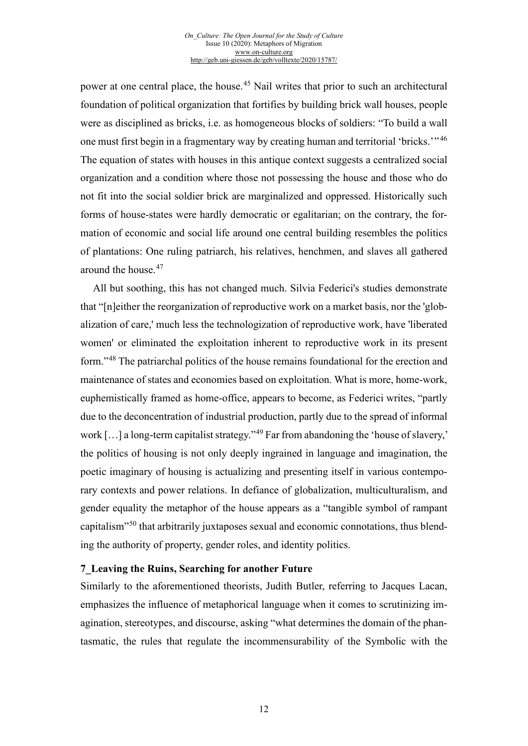power at one central place, the house.<sup>[45](#page-19-13)</sup> Nail writes that prior to such an architectural foundation of political organization that fortifies by building brick wall houses, people were as disciplined as bricks, i.e. as homogeneous blocks of soldiers: "To build a wall one must first begin in a fragmentary way by creating human and territorial 'bricks.'" <sup>[46](#page-19-14)</sup> The equation of states with houses in this antique context suggests a centralized social organization and a condition where those not possessing the house and those who do not fit into the social soldier brick are marginalized and oppressed. Historically such forms of house-states were hardly democratic or egalitarian; on the contrary, the formation of economic and social life around one central building resembles the politics of plantations: One ruling patriarch, his relatives, henchmen, and slaves all gathered around the house.[47](#page-19-15)

All but soothing, this has not changed much. Silvia Federici's studies demonstrate that "[n]either the reorganization of reproductive work on a market basis, nor the 'globalization of care,' much less the technologization of reproductive work, have 'liberated women' or eliminated the exploitation inherent to reproductive work in its present form."[48](#page-19-16) The patriarchal politics of the house remains foundational for the erection and maintenance of states and economies based on exploitation. What is more, home-work, euphemistically framed as home-office, appears to become, as Federici writes, "partly due to the deconcentration of industrial production, partly due to the spread of informal work […] a long-term capitalist strategy."[49](#page-19-17) Far from abandoning the 'house of slavery,' the politics of housing is not only deeply ingrained in language and imagination, the poetic imaginary of housing is actualizing and presenting itself in various contemporary contexts and power relations. In defiance of globalization, multiculturalism, and gender equality the metaphor of the house appears as a "tangible symbol of rampant capitalism"[50](#page-19-18) that arbitrarily juxtaposes sexual and economic connotations, thus blending the authority of property, gender roles, and identity politics.

#### **7\_Leaving the Ruins, Searching for another Future**

Similarly to the aforementioned theorists, Judith Butler, referring to Jacques Lacan, emphasizes the influence of metaphorical language when it comes to scrutinizing imagination, stereotypes, and discourse, asking "what determines the domain of the phantasmatic, the rules that regulate the incommensurability of the Symbolic with the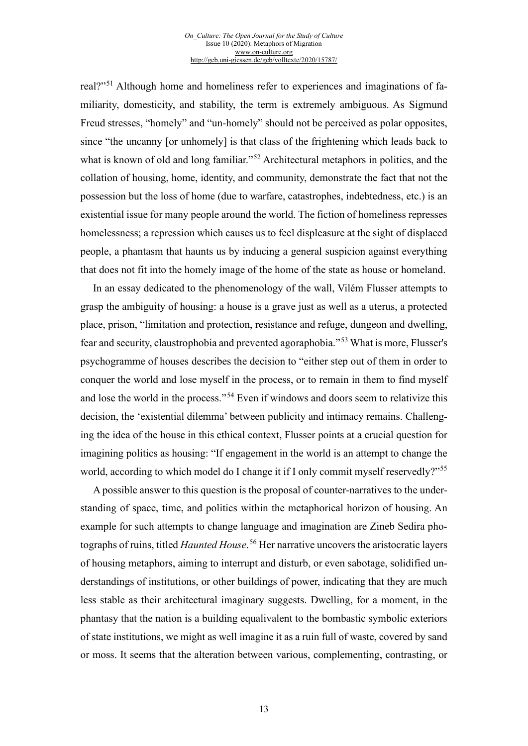real?"[51](#page-19-19) Although home and homeliness refer to experiences and imaginations of familiarity, domesticity, and stability, the term is extremely ambiguous. As Sigmund Freud stresses, "homely" and "un-homely" should not be perceived as polar opposites, since "the uncanny [or unhomely] is that class of the frightening which leads back to what is known of old and long familiar."<sup>[52](#page-19-20)</sup> Architectural metaphors in politics, and the collation of housing, home, identity, and community, demonstrate the fact that not the possession but the loss of home (due to warfare, catastrophes, indebtedness, etc.) is an existential issue for many people around the world. The fiction of homeliness represses homelessness; a repression which causes us to feel displeasure at the sight of displaced people, a phantasm that haunts us by inducing a general suspicion against everything that does not fit into the homely image of the home of the state as house or homeland.

In an essay dedicated to the phenomenology of the wall, Vilém Flusser attempts to grasp the ambiguity of housing: a house is a grave just as well as a uterus, a protected place, prison, "limitation and protection, resistance and refuge, dungeon and dwelling, fear and security, claustrophobia and prevented agoraphobia."[53](#page-19-21) What is more, Flusser's psychogramme of houses describes the decision to "either step out of them in order to conquer the world and lose myself in the process, or to remain in them to find myself and lose the world in the process."<sup>[54](#page-19-0)</sup> Even if windows and doors seem to relativize this decision, the 'existential dilemma' between publicity and intimacy remains. Challenging the idea of the house in this ethical context, Flusser points at a crucial question for imagining politics as housing: "If engagement in the world is an attempt to change the world, according to which model do I change it if I only commit myself reservedly?"[55](#page-19-1)

A possible answer to this question is the proposal of counter-narratives to the understanding of space, time, and politics within the metaphorical horizon of housing. An example for such attempts to change language and imagination are Zineb Sedira photographs of ruins, titled *Haunted House*. [56](#page-19-2) Her narrative uncovers the aristocratic layers of housing metaphors, aiming to interrupt and disturb, or even sabotage, solidified understandings of institutions, or other buildings of power, indicating that they are much less stable as their architectural imaginary suggests. Dwelling, for a moment, in the phantasy that the nation is a building equalivalent to the bombastic symbolic exteriors of state institutions, we might as well imagine it as a ruin full of waste, covered by sand or moss. It seems that the alteration between various, complementing, contrasting, or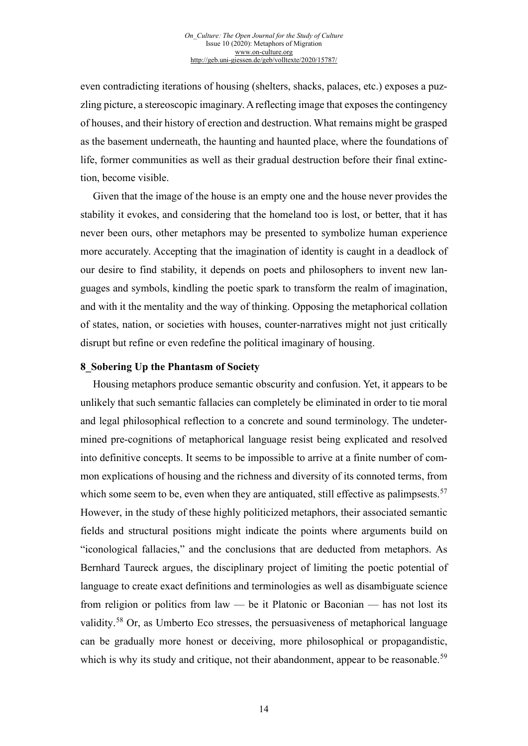even contradicting iterations of housing (shelters, shacks, palaces, etc.) exposes a puzzling picture, a stereoscopic imaginary. A reflecting image that exposes the contingency of houses, and their history of erection and destruction. What remains might be grasped as the basement underneath, the haunting and haunted place, where the foundations of life, former communities as well as their gradual destruction before their final extinction, become visible.

Given that the image of the house is an empty one and the house never provides the stability it evokes, and considering that the homeland too is lost, or better, that it has never been ours, other metaphors may be presented to symbolize human experience more accurately. Accepting that the imagination of identity is caught in a deadlock of our desire to find stability, it depends on poets and philosophers to invent new languages and symbols, kindling the poetic spark to transform the realm of imagination, and with it the mentality and the way of thinking. Opposing the metaphorical collation of states, nation, or societies with houses, counter-narratives might not just critically disrupt but refine or even redefine the political imaginary of housing.

#### **8\_Sobering Up the Phantasm of Society**

Housing metaphors produce semantic obscurity and confusion. Yet, it appears to be unlikely that such semantic fallacies can completely be eliminated in order to tie moral and legal philosophical reflection to a concrete and sound terminology. The undetermined pre-cognitions of metaphorical language resist being explicated and resolved into definitive concepts. It seems to be impossible to arrive at a finite number of common explications of housing and the richness and diversity of its connoted terms, from which some seem to be, even when they are antiquated, still effective as palimpsests.<sup>[57](#page-19-22)</sup> However, in the study of these highly politicized metaphors, their associated semantic fields and structural positions might indicate the points where arguments build on "iconological fallacies," and the conclusions that are deducted from metaphors. As Bernhard Taureck argues, the disciplinary project of limiting the poetic potential of language to create exact definitions and terminologies as well as disambiguate science from religion or politics from law — be it Platonic or Baconian — has not lost its validity.[58](#page-19-23) Or, as Umberto Eco stresses, the persuasiveness of metaphorical language can be gradually more honest or deceiving, more philosophical or propagandistic, which is why its study and critique, not their abandonment, appear to be reasonable.<sup>[59](#page-19-24)</sup>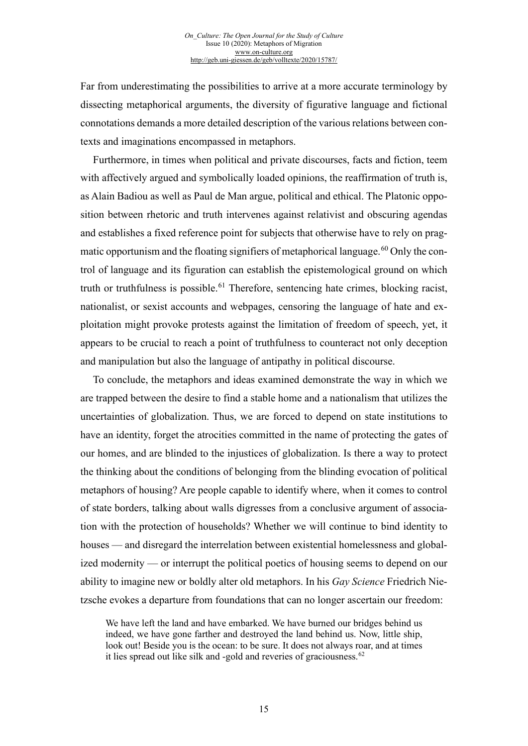Far from underestimating the possibilities to arrive at a more accurate terminology by dissecting metaphorical arguments, the diversity of figurative language and fictional connotations demands a more detailed description of the various relations between contexts and imaginations encompassed in metaphors.

Furthermore, in times when political and private discourses, facts and fiction, teem with affectively argued and symbolically loaded opinions, the reaffirmation of truth is, as Alain Badiou as well as Paul de Man argue, political and ethical. The Platonic opposition between rhetoric and truth intervenes against relativist and obscuring agendas and establishes a fixed reference point for subjects that otherwise have to rely on pragmatic opportunism and the floating signifiers of metaphorical language. $^{60}$  $^{60}$  $^{60}$  Only the control of language and its figuration can establish the epistemological ground on which truth or truthfulness is possible.<sup>[61](#page-19-7)</sup> Therefore, sentencing hate crimes, blocking racist, nationalist, or sexist accounts and webpages, censoring the language of hate and exploitation might provoke protests against the limitation of freedom of speech, yet, it appears to be crucial to reach a point of truthfulness to counteract not only deception and manipulation but also the language of antipathy in political discourse.

To conclude, the metaphors and ideas examined demonstrate the way in which we are trapped between the desire to find a stable home and a nationalism that utilizes the uncertainties of globalization. Thus, we are forced to depend on state institutions to have an identity, forget the atrocities committed in the name of protecting the gates of our homes, and are blinded to the injustices of globalization. Is there a way to protect the thinking about the conditions of belonging from the blinding evocation of political metaphors of housing? Are people capable to identify where, when it comes to control of state borders, talking about walls digresses from a conclusive argument of association with the protection of households? Whether we will continue to bind identity to houses — and disregard the interrelation between existential homelessness and globalized modernity — or interrupt the political poetics of housing seems to depend on our ability to imagine new or boldly alter old metaphors. In his *Gay Science* Friedrich Nietzsche evokes a departure from foundations that can no longer ascertain our freedom:

We have left the land and have embarked. We have burned our bridges behind us indeed, we have gone farther and destroyed the land behind us. Now, little ship, look out! Beside you is the ocean: to be sure. It does not always roar, and at times it lies spread out like silk and -gold and reveries of graciousness.  $62$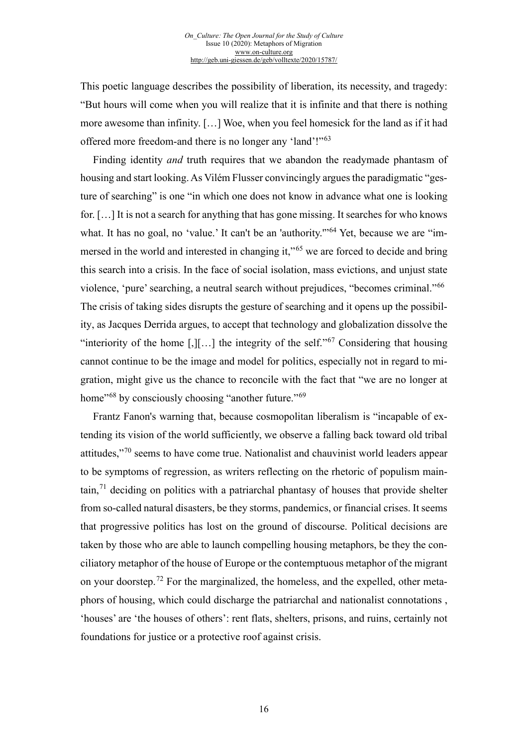This poetic language describes the possibility of liberation, its necessity, and tragedy: "But hours will come when you will realize that it is infinite and that there is nothing more awesome than infinity. […] Woe, when you feel homesick for the land as if it had offered more freedom-and there is no longer any 'land'!"[63](#page-19-26)

Finding identity *and* truth requires that we abandon the readymade phantasm of housing and start looking. As Vilém Flusser convincingly argues the paradigmatic "gesture of searching" is one "in which one does not know in advance what one is looking for. […] It is not a search for anything that has gone missing. It searches for who knows what. It has no goal, no 'value.' It can't be an 'authority."<sup>[64](#page-19-27)</sup> Yet, because we are "im-mersed in the world and interested in changing it,"<sup>[65](#page-19-28)</sup> we are forced to decide and bring this search into a crisis. In the face of social isolation, mass evictions, and unjust state violence, 'pure' searching, a neutral search without prejudices, "becomes criminal."[66](#page-19-29) The crisis of taking sides disrupts the gesture of searching and it opens up the possibility, as Jacques Derrida argues, to accept that technology and globalization dissolve the "interiority of the home  $\lceil$ , $\rceil$ [...] the integrity of the self."<sup>[67](#page-19-30)</sup> Considering that housing cannot continue to be the image and model for politics, especially not in regard to migration, might give us the chance to reconcile with the fact that "we are no longer at home<sup>"[68](#page-19-31)</sup> by consciously choosing "another future."<sup>[69](#page-19-32)</sup>

Frantz Fanon's warning that, because cosmopolitan liberalism is "incapable of extending its vision of the world sufficiently, we observe a falling back toward old tribal attitudes,"[70](#page-19-33) seems to have come true. Nationalist and chauvinist world leaders appear to be symptoms of regression, as writers reflecting on the rhetoric of populism main- $\tau$  tain,<sup>[71](#page-19-34)</sup> deciding on politics with a patriarchal phantasy of houses that provide shelter from so-called natural disasters, be they storms, pandemics, or financial crises. It seems that progressive politics has lost on the ground of discourse. Political decisions are taken by those who are able to launch compelling housing metaphors, be they the conciliatory metaphor of the house of Europe or the contemptuous metaphor of the migrant on your doorstep.[72](#page-19-35) For the marginalized, the homeless, and the expelled, other metaphors of housing, which could discharge the patriarchal and nationalist connotations , 'houses' are 'the houses of others': rent flats, shelters, prisons, and ruins, certainly not foundations for justice or a protective roof against crisis.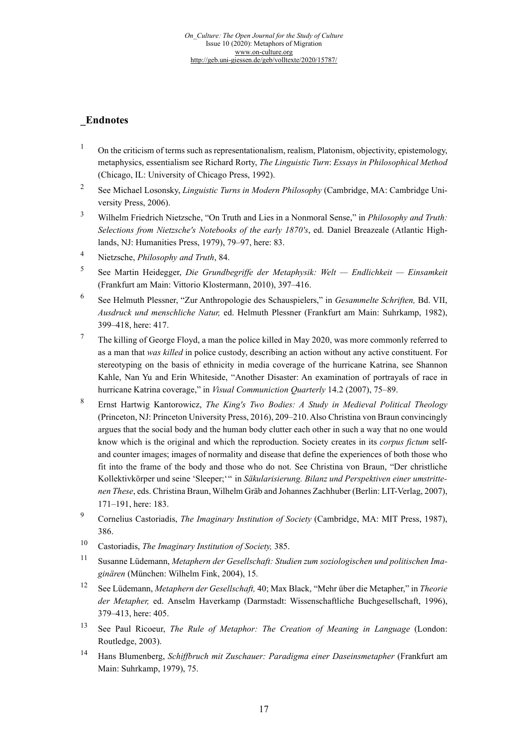# **\_Endnotes**

- <sup>1</sup> On the criticism of terms such as representationalism, realism, Platonism, objectivity, epistemology, metaphysics, essentialism see Richard Rorty, *The Linguistic Turn*: *Essays in Philosophical Method*  (Chicago, IL: University of Chicago Press, 1992).
- <sup>2</sup> See Michael Losonsky, *Linguistic Turns in Modern Philosophy* (Cambridge, MA: Cambridge University Press, 2006).
- <sup>3</sup> Wilhelm Friedrich Nietzsche, "On Truth and Lies in a Nonmoral Sense," in *Philosophy and Truth: Selections from Nietzsche's Notebooks of the early 1870's*, ed. Daniel Breazeale (Atlantic Highlands, NJ: Humanities Press, 1979), 79–97, here: 83.
- <sup>4</sup> Nietzsche, *Philosophy and Truth*, 84.
- <sup>5</sup> See Martin Heidegger, *Die Grundbegriffe der Metaphysik: Welt — Endlichkeit — Einsamkeit* (Frankfurt am Main: Vittorio Klostermann, 2010), 397–416.
- <sup>6</sup> See Helmuth Plessner, "Zur Anthropologie des Schauspielers," in *Gesammelte Schriften,* Bd. VII, *Ausdruck und menschliche Natur,* ed. Helmuth Plessner (Frankfurt am Main: Suhrkamp, 1982), 399–418, here: 417.
- $7$  The killing of George Floyd, a man the police killed in May 2020, was more commonly referred to as a man that *was killed* in police custody, describing an action without any active constituent. For stereotyping on the basis of ethnicity in media coverage of the hurricane Katrina, see Shannon Kahle, Nan Yu and Erin Whiteside, "Another Disaster: An examination of portrayals of race in hurricane Katrina coverage," in *Visual Communiction Quarterly* 14.2 (2007), 75–89.
- <sup>8</sup> Ernst Hartwig Kantorowicz, *The King's Two Bodies: A Study in Medieval Political Theology* (Princeton, NJ: Princeton University Press, 2016), 209–210. Also Christina von Braun convincingly argues that the social body and the human body clutter each other in such a way that no one would know which is the original and which the reproduction. Society creates in its *corpus fictum* selfand counter images; images of normality and disease that define the experiences of both those who fit into the frame of the body and those who do not. See Christina von Braun, "Der christliche Kollektivkörper und seine 'Sleeper;'" in *Säkularisierung. Bilanz und Perspektiven einer umstrittenen These*, eds. Christina Braun, Wilhelm Gräb and Johannes Zachhuber (Berlin: LIT-Verlag, 2007), 171–191, here: 183.
- <sup>9</sup> Cornelius Castoriadis, *The Imaginary Institution of Society* (Cambridge, MA: MIT Press, 1987), 386.
- <sup>10</sup> Castoriadis, *The Imaginary Institution of Society,* 385.
- <sup>11</sup> Susanne Lüdemann, *Metaphern der Gesellschaft: Studien zum soziologischen und politischen Imaginären* (München: Wilhelm Fink, 2004), 15.
- <sup>12</sup> See Lüdemann, *Metaphern der Gesellschaft,* 40; Max Black, "Mehr über die Metapher," in *Theorie der Metapher,* ed. Anselm Haverkamp (Darmstadt: Wissenschaftliche Buchgesellschaft, 1996), 379–413, here: 405.
- <sup>13</sup> See Paul Ricoeur, *The Rule of Metaphor: The Creation of Meaning in Language* (London: Routledge, 2003).
- <sup>14</sup> Hans Blumenberg, *Schiffbruch mit Zuschauer: Paradigma einer Daseinsmetapher* (Frankfurt am Main: Suhrkamp, 1979), 75.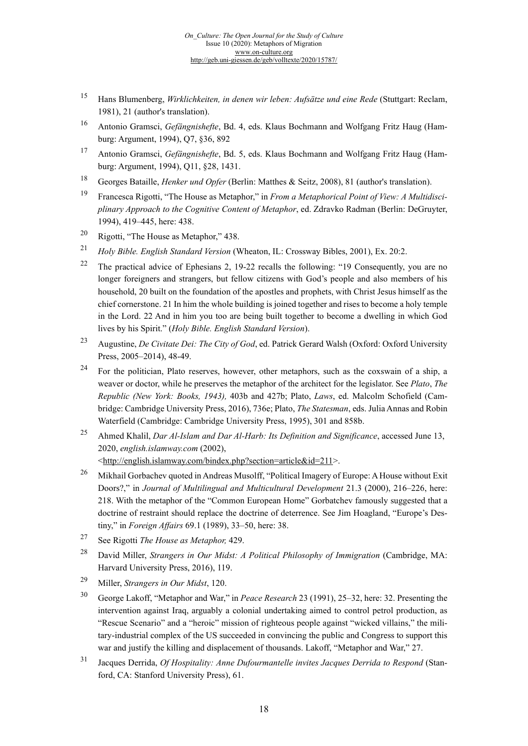- <sup>15</sup> Hans Blumenberg, *Wirklichkeiten, in denen wir leben: Aufsätze und eine Rede* (Stuttgart: Reclam, 1981), 21 (author's translation).
- <sup>16</sup> Antonio Gramsci, *Gefängnishefte*, Bd. 4, eds. Klaus Bochmann and Wolfgang Fritz Haug (Hamburg: Argument, 1994), Q7, §36, 892
- <span id="page-17-0"></span><sup>17</sup> Antonio Gramsci, *Gefängnishefte*, Bd. 5, eds. Klaus Bochmann and Wolfgang Fritz Haug (Hamburg: Argument, 1994), Q11, §28, 1431.
- <sup>18</sup> Georges Bataille, *Henker und Opfer* (Berlin: Matthes & Seitz, 2008), 81 (author's translation).
- <span id="page-17-1"></span><sup>19</sup> Francesca Rigotti, "The House as Metaphor," in *From a Metaphorical Point of View: A Multidisciplinary Approach to the Cognitive Content of Metaphor*, ed. Zdravko Radman (Berlin: DeGruyter, 1994), 419–445, here: 438.
- <span id="page-17-2"></span><sup>20</sup> Rigotti, "The House as Metaphor," 438.
- <span id="page-17-3"></span><sup>21</sup> *Holy Bible. English Standard Version* (Wheaton, IL: Crossway Bibles, 2001), Ex. 20:2.
- <span id="page-17-5"></span><span id="page-17-4"></span><sup>22</sup> The practical advice of Ephesians 2, 19-22 recalls the following: "19 Consequently, you are no longer foreigners and strangers, but fellow citizens with God's people and also members of his household, 20 built on the foundation of the apostles and prophets, with Christ Jesus himself as the chief cornerstone. 21 In him the whole building is joined together and rises to become a holy temple in the Lord. 22 And in him you too are being built together to become a dwelling in which God lives by his Spirit." (*Holy Bible. English Standard Version*).
- <span id="page-17-6"></span><sup>23</sup> Augustine, *De Civitate Dei: The City of God*, ed. Patrick Gerard Walsh (Oxford: Oxford University Press, 2005–2014), 48-49.
- <sup>24</sup> For the politician, Plato reserves, however, other metaphors, such as the coxswain of a ship, a weaver or doctor, while he preserves the metaphor of the architect for the legislator. See *Plato*, *The Republic (New York: Books, 1943),* 403b and 427b; Plato, *Laws*, ed. Malcolm Schofield (Cambridge: Cambridge University Press, 2016), 736e; Plato, *The Statesman*, eds. Julia Annas and Robin Waterfield (Cambridge: Cambridge University Press, 1995), 301 and 858b.
- <span id="page-17-7"></span><sup>25</sup> Ahmed Khalil, *Dar Al-Islam and Dar Al-Harb: Its Definition and Significance*, accessed June 13, 2020, *english.islamway.com* (2002), [<http://english.islamway.com/bindex.php?section=article&id=211>](http://english.islamway.com/bindex.php?section=article&id=211).
- <sup>26</sup> Mikhail Gorbachev quoted in Andreas Musolff, "Political Imagery of Europe: A House without Exit Doors?," in *Journal of Multilingual and Multicultural Development* 21.3 (2000), 216–226, here: 218. With the metaphor of the "Common European Home" Gorbatchev famously suggested that a doctrine of restraint should replace the doctrine of deterrence. See Jim Hoagland, "Europe's Destiny," in *Foreign Affairs* 69.1 (1989), 33–50, here: 38.
- <span id="page-17-9"></span><span id="page-17-8"></span><sup>27</sup> See Rigotti *The House as Metaphor,* 429.
- <span id="page-17-10"></span><sup>28</sup> David Miller, *Strangers in Our Midst: A Political Philosophy of Immigration* (Cambridge, MA: Harvard University Press, 2016), 119.
- <span id="page-17-11"></span><sup>29</sup> Miller, *Strangers in Our Midst*, 120.
- <span id="page-17-12"></span><sup>30</sup> George Lakoff, "Metaphor and War," in *Peace Research* 23 (1991), 25–32, here: 32. Presenting the intervention against Iraq, arguably a colonial undertaking aimed to control petrol production, as "Rescue Scenario" and a "heroic" mission of righteous people against "wicked villains," the military-industrial complex of the US succeeded in convincing the public and Congress to support this war and justify the killing and displacement of thousands. Lakoff, "Metaphor and War," 27.
- <span id="page-17-13"></span><sup>31</sup> Jacques Derrida, *Of Hospitality: Anne Dufourmantelle invites Jacques Derrida to Respond* (Stanford, CA: Stanford University Press), 61.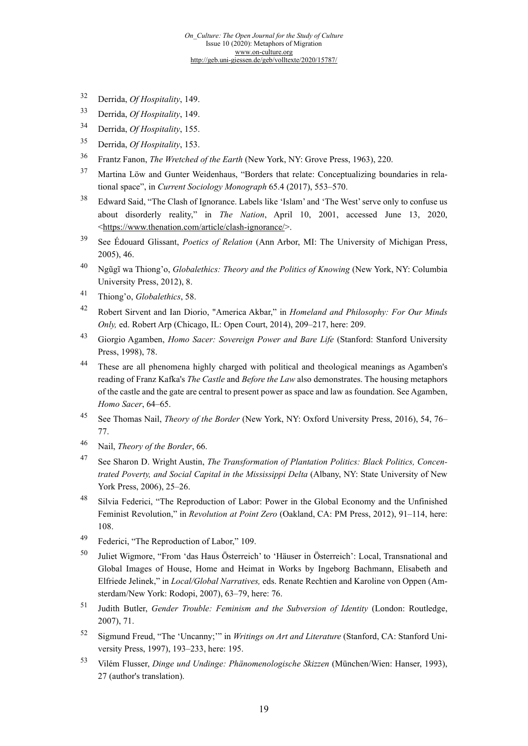- <span id="page-18-0"></span><sup>32</sup> Derrida, *Of Hospitality*, 149.
- <sup>33</sup> Derrida, *Of Hospitality*, 149.
- <span id="page-18-1"></span><sup>34</sup> Derrida, *Of Hospitality*, 155.
- <span id="page-18-2"></span><sup>35</sup> Derrida, *Of Hospitality*, 153.
- <sup>36</sup> Frantz Fanon, *The Wretched of the Earth* (New York, NY: Grove Press, 1963), 220.
- <span id="page-18-3"></span><sup>37</sup> Martina Löw and Gunter Weidenhaus, "Borders that relate: Conceptualizing boundaries in relational space", in *Current Sociology Monograph* 65.4 (2017), 553–570.
- <span id="page-18-4"></span><sup>38</sup> Edward Said, "The Clash of Ignorance. Labels like 'Islam' and 'The West' serve only to confuse us about disorderly reality," in *The Nation*, April 10, 2001, accessed June 13, 2020, [<https://www.thenation.com/article/clash-ignorance/>](https://www.thenation.com/article/clash-ignorance/).
- <span id="page-18-6"></span><span id="page-18-5"></span><sup>39</sup> See Édouard Glissant, *Poetics of Relation* (Ann Arbor, MI: The University of Michigan Press, 2005), 46.
- <span id="page-18-7"></span><sup>40</sup> Ngũgĩ wa Thiong'o, *Globalethics: Theory and the Politics of Knowing* (New York, NY: Columbia University Press, 2012), 8.
- <sup>41</sup> Thiong'o, *Globalethics*, 58.
- <sup>42</sup> Robert Sirvent and Ian Diorio, "America Akbar," in *Homeland and Philosophy: For Our Minds Only,* ed. Robert Arp (Chicago, IL: Open Court, 2014), 209–217, here: 209.
- <span id="page-18-8"></span><sup>43</sup> Giorgio Agamben, *Homo Sacer: Sovereign Power and Bare Life* (Stanford: Stanford University Press, 1998), 78.
- <span id="page-18-9"></span><sup>44</sup> These are all phenomena highly charged with political and theological meanings as Agamben's reading of Franz Kafka's *The Castle* and *Before the Law* also demonstrates. The housing metaphors of the castle and the gate are central to present power as space and law as foundation. See Agamben, *Homo Sacer*, 64–65.
- <sup>45</sup> See Thomas Nail, *Theory of the Border* (New York, NY: Oxford University Press, 2016), 54, 76– 77.
- <span id="page-18-10"></span><sup>46</sup> Nail, *Theory of the Border*, 66.
- <span id="page-18-11"></span><sup>47</sup> See Sharon D. Wright Austin, *The Transformation of Plantation Politics: Black Politics, Concentrated Poverty, and Social Capital in the Mississippi Delta* (Albany, NY: State University of New York Press, 2006), 25–26.
- <sup>48</sup> Silvia Federici, "The Reproduction of Labor: Power in the Global Economy and the Unfinished Feminist Revolution," in *Revolution at Point Zero* (Oakland, CA: PM Press, 2012), 91–114, here: 108.
- <span id="page-18-12"></span><sup>49</sup> Federici, "The Reproduction of Labor," 109.
- <span id="page-18-13"></span><sup>50</sup> Juliet Wigmore, "From 'das Haus Österreich' to 'Häuser in Österreich': Local, Transnational and Global Images of House, Home and Heimat in Works by Ingeborg Bachmann, Elisabeth and Elfriede Jelinek," in *Local/Global Narratives,* eds. Renate Rechtien and Karoline von Oppen (Amsterdam/New York: Rodopi, 2007), 63–79, here: 76.
- <span id="page-18-15"></span><span id="page-18-14"></span><sup>51</sup> Judith Butler, *Gender Trouble: Feminism and the Subversion of Identity* (London: Routledge, 2007), 71.
- <sup>52</sup> Sigmund Freud, "The 'Uncanny;'" in *Writings on Art and Literature* (Stanford, CA: Stanford University Press, 1997), 193–233, here: 195.
- <span id="page-18-16"></span><sup>53</sup> Vilém Flusser, *Dinge und Undinge: Phänomenologische Skizzen* (München/Wien: Hanser, 1993), 27 (author's translation).